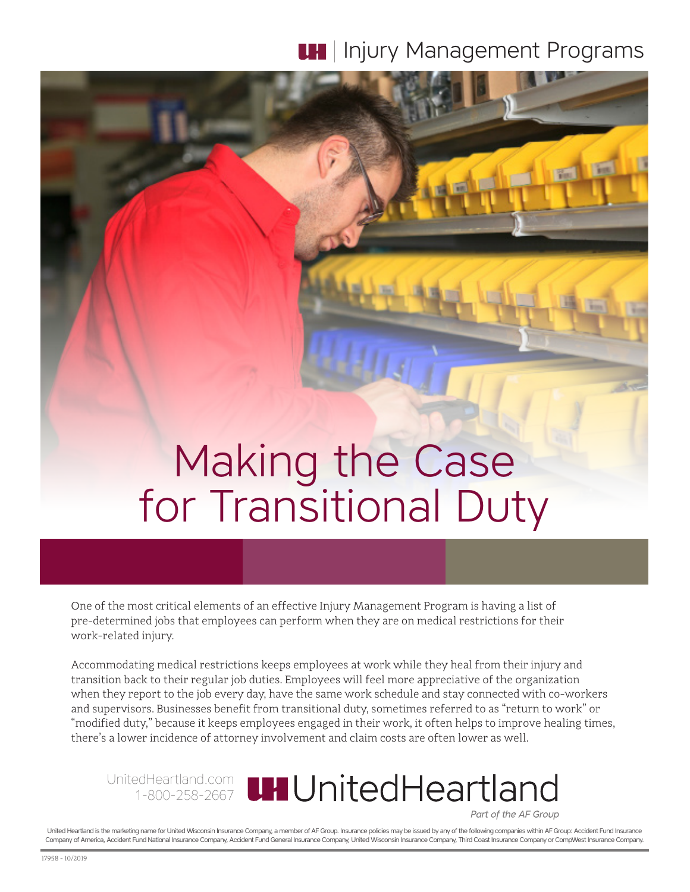# **IH** Injury Management Programs

# Making the Case for Transitional Duty

One of the most critical elements of an effective Injury Management Program is having a list of pre-determined jobs that employees can perform when they are on medical restrictions for their work-related injury.

Accommodating medical restrictions keeps employees at work while they heal from their injury and transition back to their regular job duties. Employees will feel more appreciative of the organization when they report to the job every day, have the same work schedule and stay connected with co-workers and supervisors. Businesses benefit from transitional duty, sometimes referred to as "return to work" or "modified duty," because it keeps employees engaged in their work, it often helps to improve healing times, there's a lower incidence of attorney involvement and claim costs are often lower as well.

UnitedHeartland.com 1-800-258-2667

Part of the AF Group

United Heartland is the marketing name for United Wisconsin Insurance Company, a member of AF Group. Insurance policies may be issued by any of the following companies within AF Group: Accident Fund Insurance Company of America, Accident Fund National Insurance Company, Accident Fund General Insurance Company, United Wisconsin Insurance Company, Third Coast Insurance Company or CompWest Insurance Company.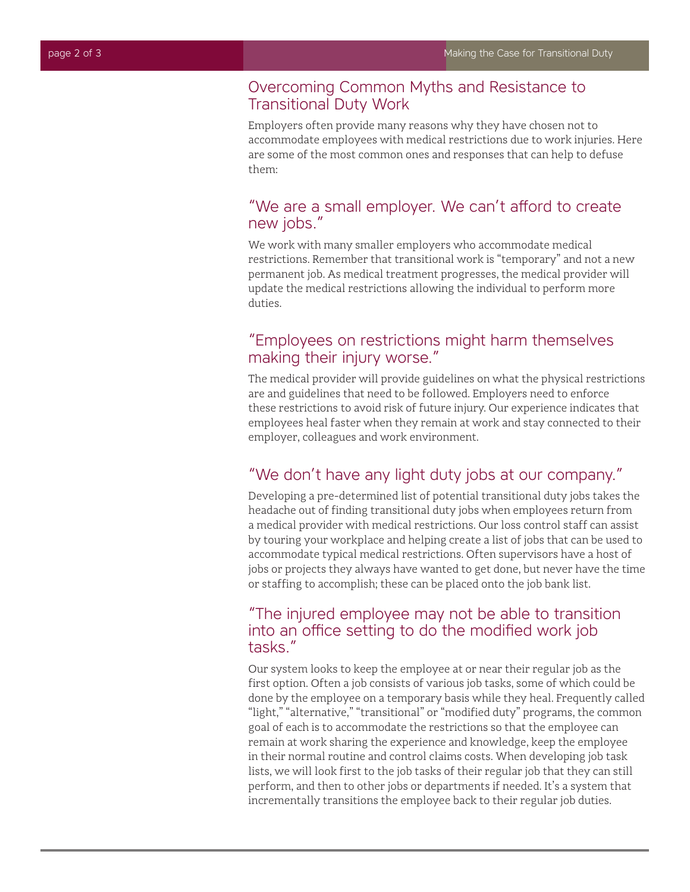#### Overcoming Common Myths and Resistance to Transitional Duty Work

Employers often provide many reasons why they have chosen not to accommodate employees with medical restrictions due to work injuries. Here are some of the most common ones and responses that can help to defuse them:

# "We are a small employer. We can't afford to create new jobs."

We work with many smaller employers who accommodate medical restrictions. Remember that transitional work is "temporary" and not a new permanent job. As medical treatment progresses, the medical provider will update the medical restrictions allowing the individual to perform more duties.

# "Employees on restrictions might harm themselves making their injury worse."

The medical provider will provide guidelines on what the physical restrictions are and guidelines that need to be followed. Employers need to enforce these restrictions to avoid risk of future injury. Our experience indicates that employees heal faster when they remain at work and stay connected to their employer, colleagues and work environment.

# "We don't have any light duty jobs at our company."

Developing a pre-determined list of potential transitional duty jobs takes the headache out of finding transitional duty jobs when employees return from a medical provider with medical restrictions. Our loss control staff can assist by touring your workplace and helping create a list of jobs that can be used to accommodate typical medical restrictions. Often supervisors have a host of jobs or projects they always have wanted to get done, but never have the time or staffing to accomplish; these can be placed onto the job bank list.

# "The injured employee may not be able to transition into an office setting to do the modified work job tasks."

Our system looks to keep the employee at or near their regular job as the first option. Often a job consists of various job tasks, some of which could be done by the employee on a temporary basis while they heal. Frequently called "light," "alternative," "transitional" or "modified duty" programs, the common goal of each is to accommodate the restrictions so that the employee can remain at work sharing the experience and knowledge, keep the employee in their normal routine and control claims costs. When developing job task lists, we will look first to the job tasks of their regular job that they can still perform, and then to other jobs or departments if needed. It's a system that incrementally transitions the employee back to their regular job duties.